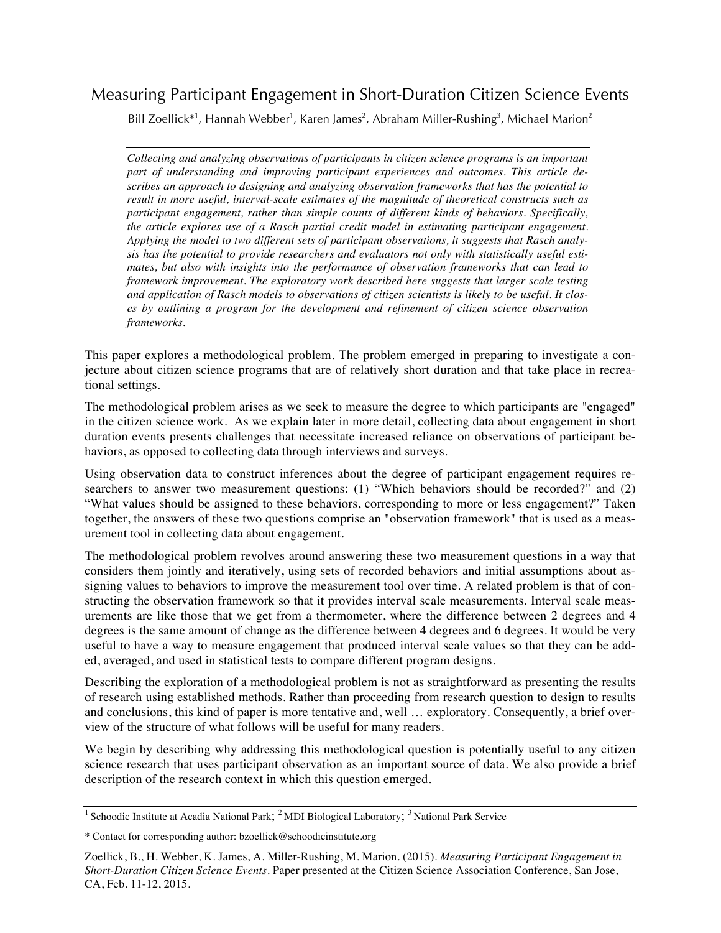# Measuring Participant Engagement in Short-Duration Citizen Science Events

Bill Zoellick<sup>\*1</sup>, Hannah Webber<sup>1</sup>, Karen James<sup>2</sup>, Abraham Miller-Rushing<sup>3</sup>, Michael Marion<sup>2</sup>

*Collecting and analyzing observations of participants in citizen science programs is an important part of understanding and improving participant experiences and outcomes. This article describes an approach to designing and analyzing observation frameworks that has the potential to result in more useful, interval-scale estimates of the magnitude of theoretical constructs such as participant engagement, rather than simple counts of different kinds of behaviors. Specifically, the article explores use of a Rasch partial credit model in estimating participant engagement. Applying the model to two different sets of participant observations, it suggests that Rasch analysis has the potential to provide researchers and evaluators not only with statistically useful estimates, but also with insights into the performance of observation frameworks that can lead to framework improvement. The exploratory work described here suggests that larger scale testing and application of Rasch models to observations of citizen scientists is likely to be useful. It closes by outlining a program for the development and refinement of citizen science observation frameworks*.

This paper explores a methodological problem. The problem emerged in preparing to investigate a conjecture about citizen science programs that are of relatively short duration and that take place in recreational settings.

The methodological problem arises as we seek to measure the degree to which participants are "engaged" in the citizen science work. As we explain later in more detail, collecting data about engagement in short duration events presents challenges that necessitate increased reliance on observations of participant behaviors, as opposed to collecting data through interviews and surveys.

Using observation data to construct inferences about the degree of participant engagement requires researchers to answer two measurement questions: (1) "Which behaviors should be recorded?" and (2) "What values should be assigned to these behaviors, corresponding to more or less engagement?" Taken together, the answers of these two questions comprise an "observation framework" that is used as a measurement tool in collecting data about engagement.

The methodological problem revolves around answering these two measurement questions in a way that considers them jointly and iteratively, using sets of recorded behaviors and initial assumptions about assigning values to behaviors to improve the measurement tool over time. A related problem is that of constructing the observation framework so that it provides interval scale measurements. Interval scale measurements are like those that we get from a thermometer, where the difference between 2 degrees and 4 degrees is the same amount of change as the difference between 4 degrees and 6 degrees. It would be very useful to have a way to measure engagement that produced interval scale values so that they can be added, averaged, and used in statistical tests to compare different program designs.

Describing the exploration of a methodological problem is not as straightforward as presenting the results of research using established methods. Rather than proceeding from research question to design to results and conclusions, this kind of paper is more tentative and, well … exploratory. Consequently, a brief overview of the structure of what follows will be useful for many readers.

We begin by describing why addressing this methodological question is potentially useful to any citizen science research that uses participant observation as an important source of data. We also provide a brief description of the research context in which this question emerged.

<sup>&</sup>lt;sup>1</sup> Schoodic Institute at Acadia National Park; <sup>2</sup> MDI Biological Laboratory; <sup>3</sup> National Park Service

<sup>\*</sup> Contact for corresponding author: bzoellick@schoodicinstitute.org

Zoellick, B., H. Webber, K. James, A. Miller-Rushing, M. Marion. (2015). *Measuring Participant Engagement in Short-Duration Citizen Science Events.* Paper presented at the Citizen Science Association Conference, San Jose, CA, Feb. 11-12, 2015.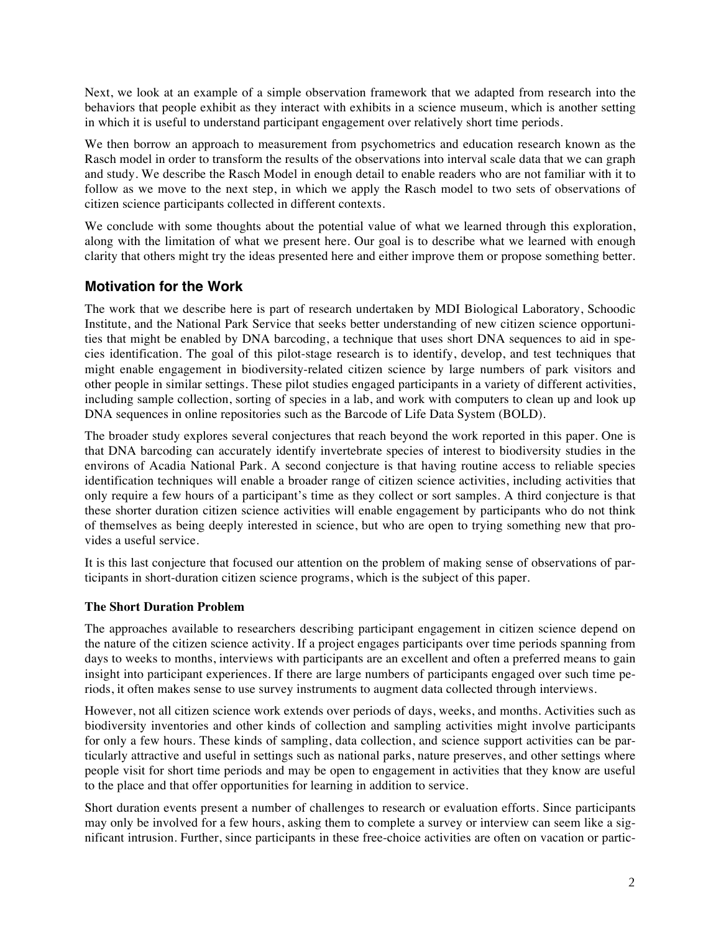Next, we look at an example of a simple observation framework that we adapted from research into the behaviors that people exhibit as they interact with exhibits in a science museum, which is another setting in which it is useful to understand participant engagement over relatively short time periods.

We then borrow an approach to measurement from psychometrics and education research known as the Rasch model in order to transform the results of the observations into interval scale data that we can graph and study. We describe the Rasch Model in enough detail to enable readers who are not familiar with it to follow as we move to the next step, in which we apply the Rasch model to two sets of observations of citizen science participants collected in different contexts.

We conclude with some thoughts about the potential value of what we learned through this exploration, along with the limitation of what we present here. Our goal is to describe what we learned with enough clarity that others might try the ideas presented here and either improve them or propose something better.

# **Motivation for the Work**

The work that we describe here is part of research undertaken by MDI Biological Laboratory, Schoodic Institute, and the National Park Service that seeks better understanding of new citizen science opportunities that might be enabled by DNA barcoding, a technique that uses short DNA sequences to aid in species identification. The goal of this pilot-stage research is to identify, develop, and test techniques that might enable engagement in biodiversity-related citizen science by large numbers of park visitors and other people in similar settings. These pilot studies engaged participants in a variety of different activities, including sample collection, sorting of species in a lab, and work with computers to clean up and look up DNA sequences in online repositories such as the Barcode of Life Data System (BOLD).

The broader study explores several conjectures that reach beyond the work reported in this paper. One is that DNA barcoding can accurately identify invertebrate species of interest to biodiversity studies in the environs of Acadia National Park. A second conjecture is that having routine access to reliable species identification techniques will enable a broader range of citizen science activities, including activities that only require a few hours of a participant's time as they collect or sort samples. A third conjecture is that these shorter duration citizen science activities will enable engagement by participants who do not think of themselves as being deeply interested in science, but who are open to trying something new that provides a useful service.

It is this last conjecture that focused our attention on the problem of making sense of observations of participants in short-duration citizen science programs, which is the subject of this paper.

### **The Short Duration Problem**

The approaches available to researchers describing participant engagement in citizen science depend on the nature of the citizen science activity. If a project engages participants over time periods spanning from days to weeks to months, interviews with participants are an excellent and often a preferred means to gain insight into participant experiences. If there are large numbers of participants engaged over such time periods, it often makes sense to use survey instruments to augment data collected through interviews.

However, not all citizen science work extends over periods of days, weeks, and months. Activities such as biodiversity inventories and other kinds of collection and sampling activities might involve participants for only a few hours. These kinds of sampling, data collection, and science support activities can be particularly attractive and useful in settings such as national parks, nature preserves, and other settings where people visit for short time periods and may be open to engagement in activities that they know are useful to the place and that offer opportunities for learning in addition to service.

Short duration events present a number of challenges to research or evaluation efforts. Since participants may only be involved for a few hours, asking them to complete a survey or interview can seem like a significant intrusion. Further, since participants in these free-choice activities are often on vacation or partic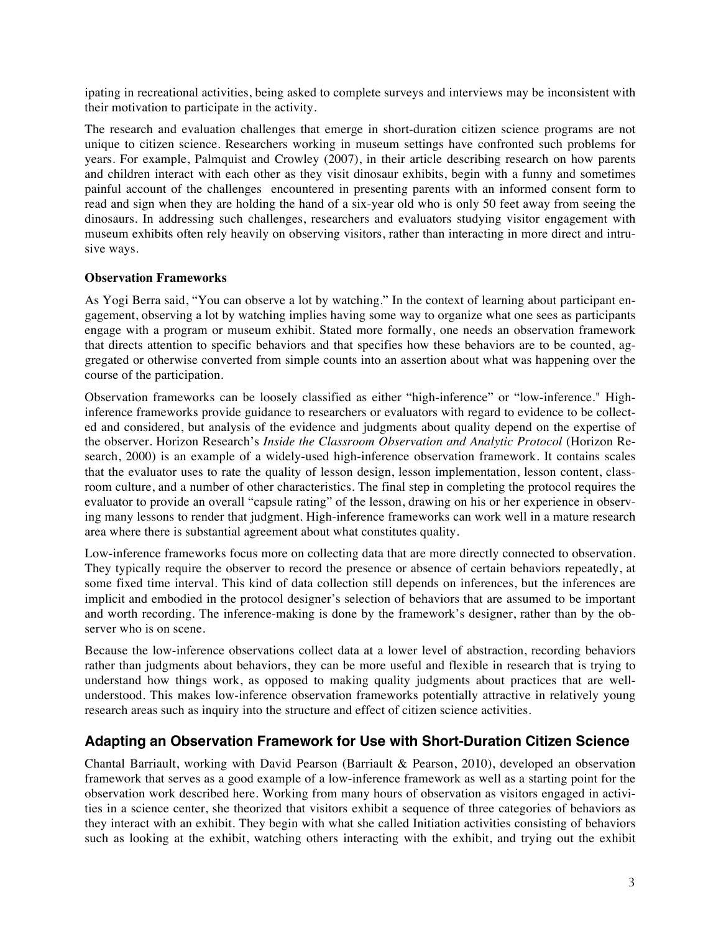ipating in recreational activities, being asked to complete surveys and interviews may be inconsistent with their motivation to participate in the activity.

The research and evaluation challenges that emerge in short-duration citizen science programs are not unique to citizen science. Researchers working in museum settings have confronted such problems for years. For example, Palmquist and Crowley (2007), in their article describing research on how parents and children interact with each other as they visit dinosaur exhibits, begin with a funny and sometimes painful account of the challenges encountered in presenting parents with an informed consent form to read and sign when they are holding the hand of a six-year old who is only 50 feet away from seeing the dinosaurs. In addressing such challenges, researchers and evaluators studying visitor engagement with museum exhibits often rely heavily on observing visitors, rather than interacting in more direct and intrusive ways.

### **Observation Frameworks**

As Yogi Berra said, "You can observe a lot by watching." In the context of learning about participant engagement, observing a lot by watching implies having some way to organize what one sees as participants engage with a program or museum exhibit. Stated more formally, one needs an observation framework that directs attention to specific behaviors and that specifies how these behaviors are to be counted, aggregated or otherwise converted from simple counts into an assertion about what was happening over the course of the participation.

Observation frameworks can be loosely classified as either "high-inference" or "low-inference." Highinference frameworks provide guidance to researchers or evaluators with regard to evidence to be collected and considered, but analysis of the evidence and judgments about quality depend on the expertise of the observer. Horizon Research's *Inside the Classroom Observation and Analytic Protocol* (Horizon Research, 2000) is an example of a widely-used high-inference observation framework. It contains scales that the evaluator uses to rate the quality of lesson design, lesson implementation, lesson content, classroom culture, and a number of other characteristics. The final step in completing the protocol requires the evaluator to provide an overall "capsule rating" of the lesson, drawing on his or her experience in observing many lessons to render that judgment. High-inference frameworks can work well in a mature research area where there is substantial agreement about what constitutes quality.

Low-inference frameworks focus more on collecting data that are more directly connected to observation. They typically require the observer to record the presence or absence of certain behaviors repeatedly, at some fixed time interval. This kind of data collection still depends on inferences, but the inferences are implicit and embodied in the protocol designer's selection of behaviors that are assumed to be important and worth recording. The inference-making is done by the framework's designer, rather than by the observer who is on scene.

Because the low-inference observations collect data at a lower level of abstraction, recording behaviors rather than judgments about behaviors, they can be more useful and flexible in research that is trying to understand how things work, as opposed to making quality judgments about practices that are wellunderstood. This makes low-inference observation frameworks potentially attractive in relatively young research areas such as inquiry into the structure and effect of citizen science activities.

## **Adapting an Observation Framework for Use with Short-Duration Citizen Science**

Chantal Barriault, working with David Pearson (Barriault & Pearson, 2010), developed an observation framework that serves as a good example of a low-inference framework as well as a starting point for the observation work described here. Working from many hours of observation as visitors engaged in activities in a science center, she theorized that visitors exhibit a sequence of three categories of behaviors as they interact with an exhibit. They begin with what she called Initiation activities consisting of behaviors such as looking at the exhibit, watching others interacting with the exhibit, and trying out the exhibit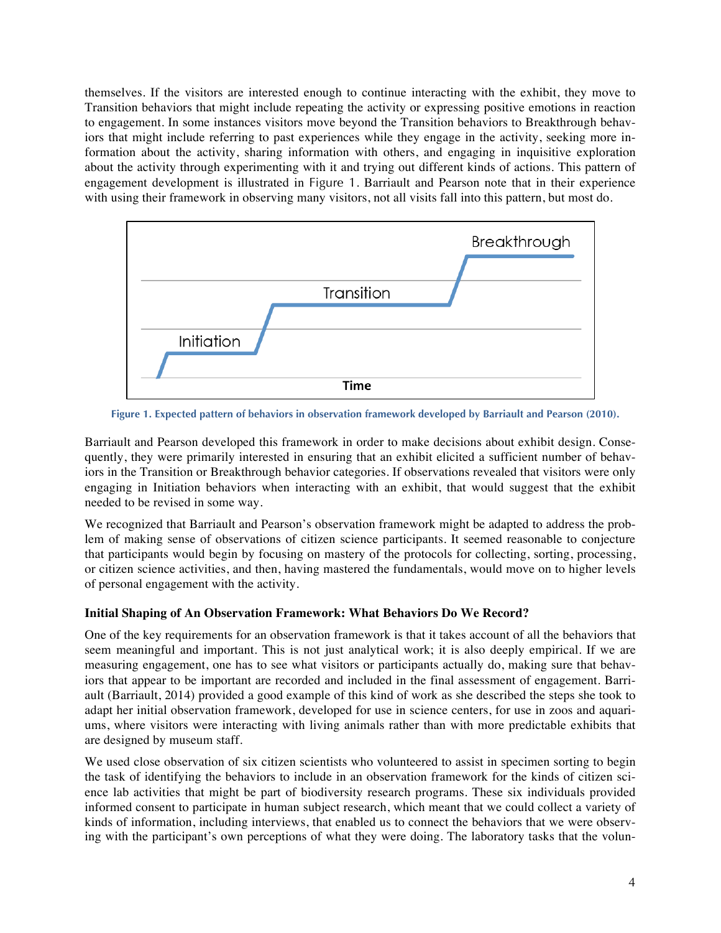themselves. If the visitors are interested enough to continue interacting with the exhibit, they move to Transition behaviors that might include repeating the activity or expressing positive emotions in reaction to engagement. In some instances visitors move beyond the Transition behaviors to Breakthrough behaviors that might include referring to past experiences while they engage in the activity, seeking more information about the activity, sharing information with others, and engaging in inquisitive exploration about the activity through experimenting with it and trying out different kinds of actions. This pattern of engagement development is illustrated in Figure 1. Barriault and Pearson note that in their experience with using their framework in observing many visitors, not all visits fall into this pattern, but most do.



**Figure 1. Expected pattern of behaviors in observation framework developed by Barriault and Pearson (2010).**

Barriault and Pearson developed this framework in order to make decisions about exhibit design. Consequently, they were primarily interested in ensuring that an exhibit elicited a sufficient number of behaviors in the Transition or Breakthrough behavior categories. If observations revealed that visitors were only engaging in Initiation behaviors when interacting with an exhibit, that would suggest that the exhibit needed to be revised in some way.

We recognized that Barriault and Pearson's observation framework might be adapted to address the problem of making sense of observations of citizen science participants. It seemed reasonable to conjecture that participants would begin by focusing on mastery of the protocols for collecting, sorting, processing, or citizen science activities, and then, having mastered the fundamentals, would move on to higher levels of personal engagement with the activity.

## **Initial Shaping of An Observation Framework: What Behaviors Do We Record?**

One of the key requirements for an observation framework is that it takes account of all the behaviors that seem meaningful and important. This is not just analytical work; it is also deeply empirical. If we are measuring engagement, one has to see what visitors or participants actually do, making sure that behaviors that appear to be important are recorded and included in the final assessment of engagement. Barriault (Barriault, 2014) provided a good example of this kind of work as she described the steps she took to adapt her initial observation framework, developed for use in science centers, for use in zoos and aquariums, where visitors were interacting with living animals rather than with more predictable exhibits that are designed by museum staff.

We used close observation of six citizen scientists who volunteered to assist in specimen sorting to begin the task of identifying the behaviors to include in an observation framework for the kinds of citizen science lab activities that might be part of biodiversity research programs. These six individuals provided informed consent to participate in human subject research, which meant that we could collect a variety of kinds of information, including interviews, that enabled us to connect the behaviors that we were observing with the participant's own perceptions of what they were doing. The laboratory tasks that the volun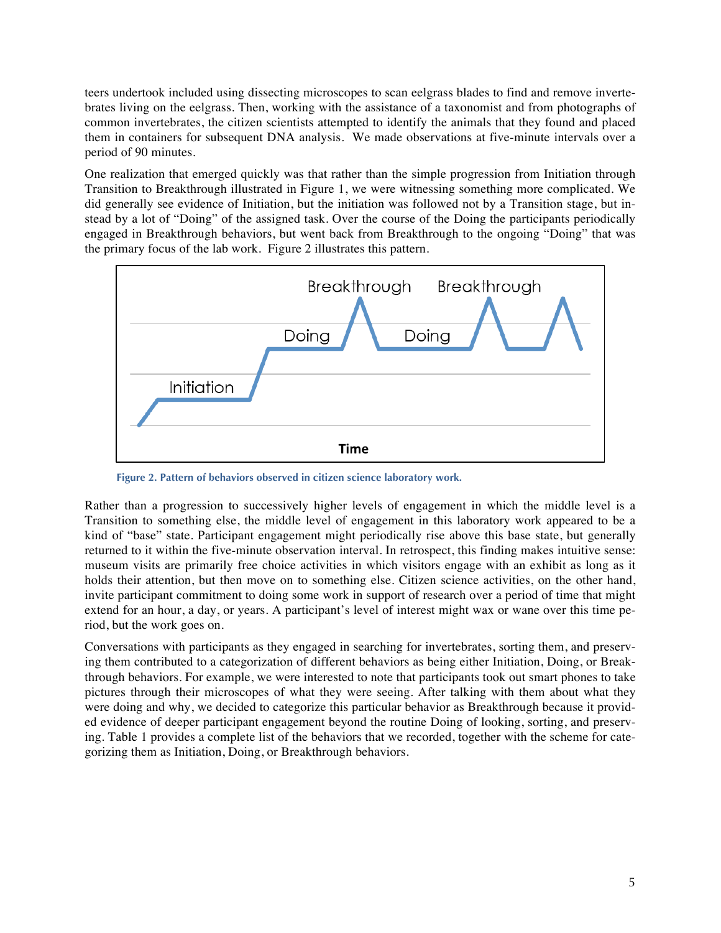teers undertook included using dissecting microscopes to scan eelgrass blades to find and remove invertebrates living on the eelgrass. Then, working with the assistance of a taxonomist and from photographs of common invertebrates, the citizen scientists attempted to identify the animals that they found and placed them in containers for subsequent DNA analysis. We made observations at five-minute intervals over a period of 90 minutes.

One realization that emerged quickly was that rather than the simple progression from Initiation through Transition to Breakthrough illustrated in Figure 1, we were witnessing something more complicated. We did generally see evidence of Initiation, but the initiation was followed not by a Transition stage, but instead by a lot of "Doing" of the assigned task. Over the course of the Doing the participants periodically engaged in Breakthrough behaviors, but went back from Breakthrough to the ongoing "Doing" that was the primary focus of the lab work. Figure 2 illustrates this pattern.



**Figure 2. Pattern of behaviors observed in citizen science laboratory work.**

Rather than a progression to successively higher levels of engagement in which the middle level is a Transition to something else, the middle level of engagement in this laboratory work appeared to be a kind of "base" state. Participant engagement might periodically rise above this base state, but generally returned to it within the five-minute observation interval. In retrospect, this finding makes intuitive sense: museum visits are primarily free choice activities in which visitors engage with an exhibit as long as it holds their attention, but then move on to something else. Citizen science activities, on the other hand, invite participant commitment to doing some work in support of research over a period of time that might extend for an hour, a day, or years. A participant's level of interest might wax or wane over this time period, but the work goes on.

Conversations with participants as they engaged in searching for invertebrates, sorting them, and preserving them contributed to a categorization of different behaviors as being either Initiation, Doing, or Breakthrough behaviors. For example, we were interested to note that participants took out smart phones to take pictures through their microscopes of what they were seeing. After talking with them about what they were doing and why, we decided to categorize this particular behavior as Breakthrough because it provided evidence of deeper participant engagement beyond the routine Doing of looking, sorting, and preserving. Table 1 provides a complete list of the behaviors that we recorded, together with the scheme for categorizing them as Initiation, Doing, or Breakthrough behaviors.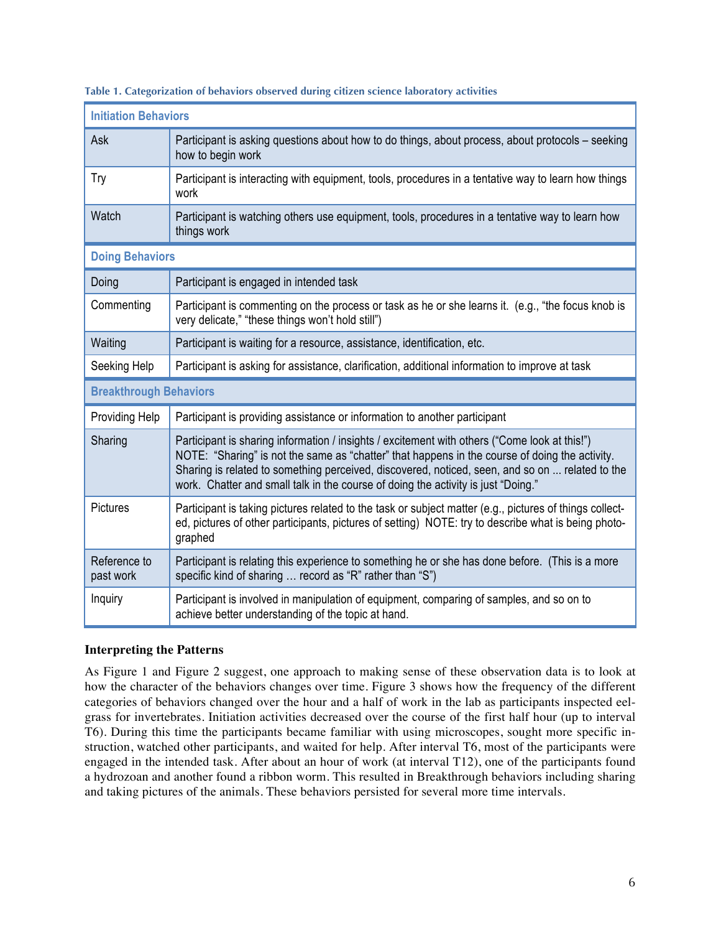| <b>Initiation Behaviors</b>   |                                                                                                                                                                                                                                                                                                                                                                                         |  |  |  |  |
|-------------------------------|-----------------------------------------------------------------------------------------------------------------------------------------------------------------------------------------------------------------------------------------------------------------------------------------------------------------------------------------------------------------------------------------|--|--|--|--|
| Ask                           | Participant is asking questions about how to do things, about process, about protocols – seeking<br>how to begin work                                                                                                                                                                                                                                                                   |  |  |  |  |
| Try                           | Participant is interacting with equipment, tools, procedures in a tentative way to learn how things<br>work                                                                                                                                                                                                                                                                             |  |  |  |  |
| Watch                         | Participant is watching others use equipment, tools, procedures in a tentative way to learn how<br>things work                                                                                                                                                                                                                                                                          |  |  |  |  |
| <b>Doing Behaviors</b>        |                                                                                                                                                                                                                                                                                                                                                                                         |  |  |  |  |
| Doing                         | Participant is engaged in intended task                                                                                                                                                                                                                                                                                                                                                 |  |  |  |  |
| Commenting                    | Participant is commenting on the process or task as he or she learns it. (e.g., "the focus knob is<br>very delicate," "these things won't hold still")                                                                                                                                                                                                                                  |  |  |  |  |
| Waiting                       | Participant is waiting for a resource, assistance, identification, etc.                                                                                                                                                                                                                                                                                                                 |  |  |  |  |
| Seeking Help                  | Participant is asking for assistance, clarification, additional information to improve at task                                                                                                                                                                                                                                                                                          |  |  |  |  |
| <b>Breakthrough Behaviors</b> |                                                                                                                                                                                                                                                                                                                                                                                         |  |  |  |  |
| Providing Help                | Participant is providing assistance or information to another participant                                                                                                                                                                                                                                                                                                               |  |  |  |  |
| Sharing                       | Participant is sharing information / insights / excitement with others ("Come look at this!")<br>NOTE: "Sharing" is not the same as "chatter" that happens in the course of doing the activity.<br>Sharing is related to something perceived, discovered, noticed, seen, and so on  related to the<br>work. Chatter and small talk in the course of doing the activity is just "Doing." |  |  |  |  |
| Pictures                      | Participant is taking pictures related to the task or subject matter (e.g., pictures of things collect-<br>ed, pictures of other participants, pictures of setting) NOTE: try to describe what is being photo-<br>graphed                                                                                                                                                               |  |  |  |  |
| Reference to<br>past work     | Participant is relating this experience to something he or she has done before. (This is a more<br>specific kind of sharing  record as "R" rather than "S")                                                                                                                                                                                                                             |  |  |  |  |
| Inquiry                       | Participant is involved in manipulation of equipment, comparing of samples, and so on to<br>achieve better understanding of the topic at hand.                                                                                                                                                                                                                                          |  |  |  |  |

#### **Table 1. Categorization of behaviors observed during citizen science laboratory activities**

### **Interpreting the Patterns**

As Figure 1 and Figure 2 suggest, one approach to making sense of these observation data is to look at how the character of the behaviors changes over time. Figure 3 shows how the frequency of the different categories of behaviors changed over the hour and a half of work in the lab as participants inspected eelgrass for invertebrates. Initiation activities decreased over the course of the first half hour (up to interval T6). During this time the participants became familiar with using microscopes, sought more specific instruction, watched other participants, and waited for help. After interval T6, most of the participants were engaged in the intended task. After about an hour of work (at interval T12), one of the participants found a hydrozoan and another found a ribbon worm. This resulted in Breakthrough behaviors including sharing and taking pictures of the animals. These behaviors persisted for several more time intervals.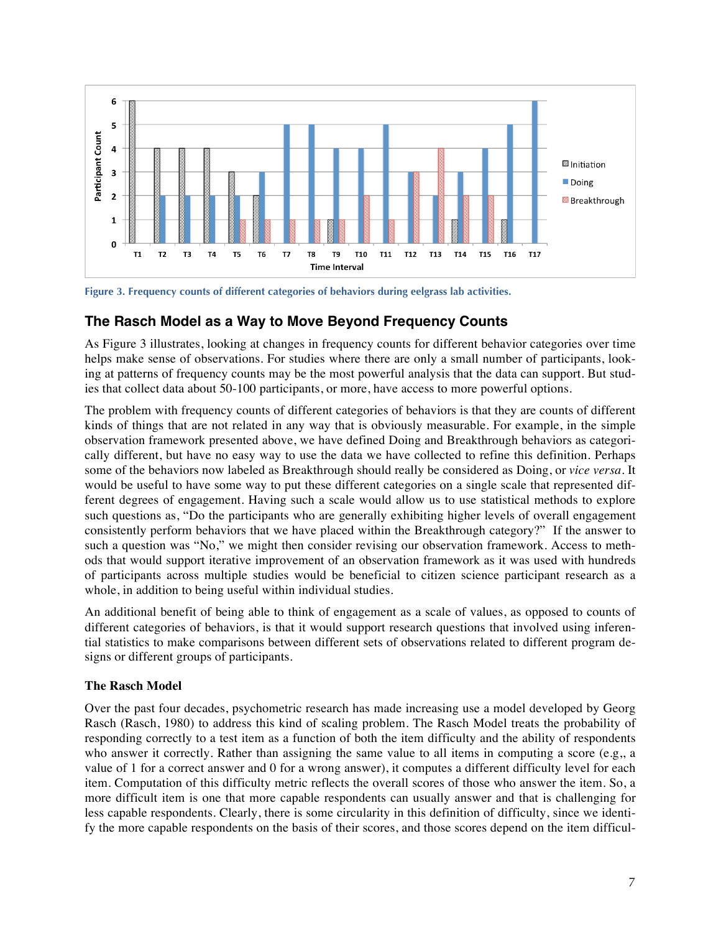

**Figure 3. Frequency counts of different categories of behaviors during eelgrass lab activities.**

## **The Rasch Model as a Way to Move Beyond Frequency Counts**

As Figure 3 illustrates, looking at changes in frequency counts for different behavior categories over time helps make sense of observations. For studies where there are only a small number of participants, looking at patterns of frequency counts may be the most powerful analysis that the data can support. But studies that collect data about 50-100 participants, or more, have access to more powerful options.

The problem with frequency counts of different categories of behaviors is that they are counts of different kinds of things that are not related in any way that is obviously measurable. For example, in the simple observation framework presented above, we have defined Doing and Breakthrough behaviors as categorically different, but have no easy way to use the data we have collected to refine this definition. Perhaps some of the behaviors now labeled as Breakthrough should really be considered as Doing, or *vice versa*. It would be useful to have some way to put these different categories on a single scale that represented different degrees of engagement. Having such a scale would allow us to use statistical methods to explore such questions as, "Do the participants who are generally exhibiting higher levels of overall engagement consistently perform behaviors that we have placed within the Breakthrough category?" If the answer to such a question was "No," we might then consider revising our observation framework. Access to methods that would support iterative improvement of an observation framework as it was used with hundreds of participants across multiple studies would be beneficial to citizen science participant research as a whole, in addition to being useful within individual studies.

An additional benefit of being able to think of engagement as a scale of values, as opposed to counts of different categories of behaviors, is that it would support research questions that involved using inferential statistics to make comparisons between different sets of observations related to different program designs or different groups of participants.

### **The Rasch Model**

Over the past four decades, psychometric research has made increasing use a model developed by Georg Rasch (Rasch, 1980) to address this kind of scaling problem. The Rasch Model treats the probability of responding correctly to a test item as a function of both the item difficulty and the ability of respondents who answer it correctly. Rather than assigning the same value to all items in computing a score (e.g,, a value of 1 for a correct answer and 0 for a wrong answer), it computes a different difficulty level for each item. Computation of this difficulty metric reflects the overall scores of those who answer the item. So, a more difficult item is one that more capable respondents can usually answer and that is challenging for less capable respondents. Clearly, there is some circularity in this definition of difficulty, since we identify the more capable respondents on the basis of their scores, and those scores depend on the item difficul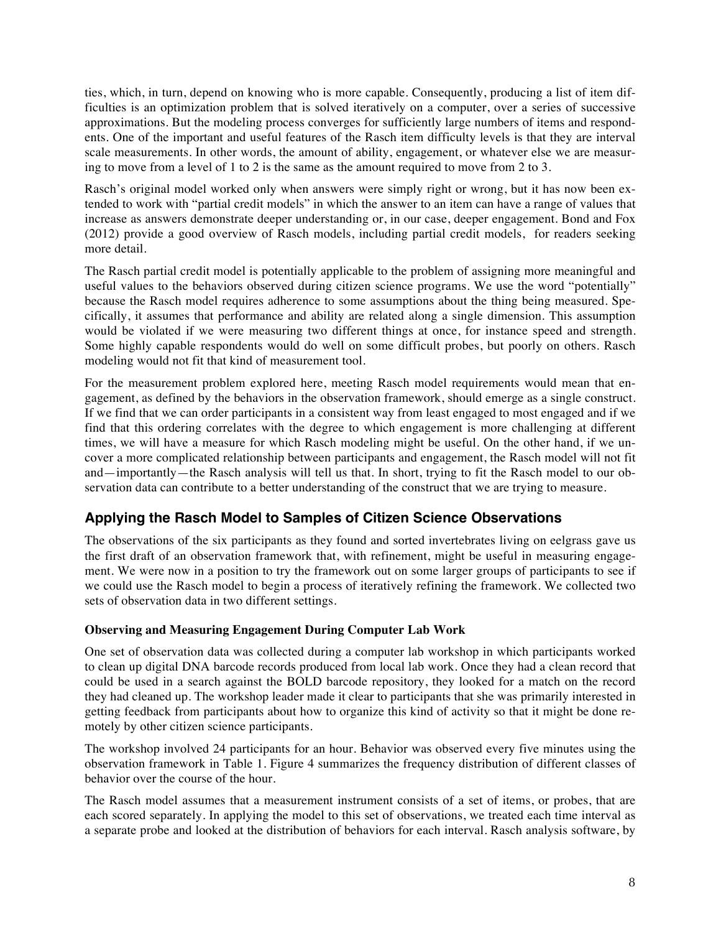ties, which, in turn, depend on knowing who is more capable. Consequently, producing a list of item difficulties is an optimization problem that is solved iteratively on a computer, over a series of successive approximations. But the modeling process converges for sufficiently large numbers of items and respondents. One of the important and useful features of the Rasch item difficulty levels is that they are interval scale measurements. In other words, the amount of ability, engagement, or whatever else we are measuring to move from a level of 1 to 2 is the same as the amount required to move from 2 to 3.

Rasch's original model worked only when answers were simply right or wrong, but it has now been extended to work with "partial credit models" in which the answer to an item can have a range of values that increase as answers demonstrate deeper understanding or, in our case, deeper engagement. Bond and Fox (2012) provide a good overview of Rasch models, including partial credit models, for readers seeking more detail.

The Rasch partial credit model is potentially applicable to the problem of assigning more meaningful and useful values to the behaviors observed during citizen science programs. We use the word "potentially" because the Rasch model requires adherence to some assumptions about the thing being measured. Specifically, it assumes that performance and ability are related along a single dimension. This assumption would be violated if we were measuring two different things at once, for instance speed and strength. Some highly capable respondents would do well on some difficult probes, but poorly on others. Rasch modeling would not fit that kind of measurement tool.

For the measurement problem explored here, meeting Rasch model requirements would mean that engagement, as defined by the behaviors in the observation framework, should emerge as a single construct. If we find that we can order participants in a consistent way from least engaged to most engaged and if we find that this ordering correlates with the degree to which engagement is more challenging at different times, we will have a measure for which Rasch modeling might be useful. On the other hand, if we uncover a more complicated relationship between participants and engagement, the Rasch model will not fit and—importantly—the Rasch analysis will tell us that. In short, trying to fit the Rasch model to our observation data can contribute to a better understanding of the construct that we are trying to measure.

# **Applying the Rasch Model to Samples of Citizen Science Observations**

The observations of the six participants as they found and sorted invertebrates living on eelgrass gave us the first draft of an observation framework that, with refinement, might be useful in measuring engagement. We were now in a position to try the framework out on some larger groups of participants to see if we could use the Rasch model to begin a process of iteratively refining the framework. We collected two sets of observation data in two different settings.

## **Observing and Measuring Engagement During Computer Lab Work**

One set of observation data was collected during a computer lab workshop in which participants worked to clean up digital DNA barcode records produced from local lab work. Once they had a clean record that could be used in a search against the BOLD barcode repository, they looked for a match on the record they had cleaned up. The workshop leader made it clear to participants that she was primarily interested in getting feedback from participants about how to organize this kind of activity so that it might be done remotely by other citizen science participants.

The workshop involved 24 participants for an hour. Behavior was observed every five minutes using the observation framework in Table 1. Figure 4 summarizes the frequency distribution of different classes of behavior over the course of the hour.

The Rasch model assumes that a measurement instrument consists of a set of items, or probes, that are each scored separately. In applying the model to this set of observations, we treated each time interval as a separate probe and looked at the distribution of behaviors for each interval. Rasch analysis software, by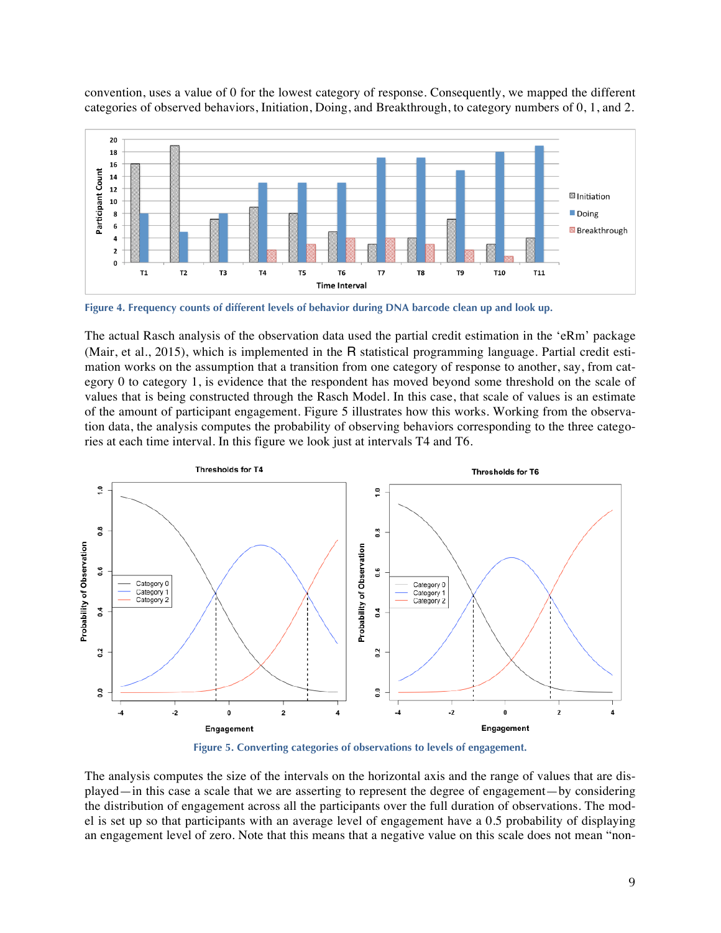convention, uses a value of 0 for the lowest category of response. Consequently, we mapped the different categories of observed behaviors, Initiation, Doing, and Breakthrough, to category numbers of 0, 1, and 2.



**Figure 4. Frequency counts of different levels of behavior during DNA barcode clean up and look up.**

The actual Rasch analysis of the observation data used the partial credit estimation in the 'eRm' package (Mair, et al., 2015), which is implemented in the R statistical programming language. Partial credit estimation works on the assumption that a transition from one category of response to another, say, from category 0 to category 1, is evidence that the respondent has moved beyond some threshold on the scale of values that is being constructed through the Rasch Model. In this case, that scale of values is an estimate of the amount of participant engagement. Figure 5 illustrates how this works. Working from the observation data, the analysis computes the probability of observing behaviors corresponding to the three categories at each time interval. In this figure we look just at intervals T4 and T6.



**Figure 5. Converting categories of observations to levels of engagement.**

The analysis computes the size of the intervals on the horizontal axis and the range of values that are displayed—in this case a scale that we are asserting to represent the degree of engagement—by considering the distribution of engagement across all the participants over the full duration of observations. The model is set up so that participants with an average level of engagement have a 0.5 probability of displaying an engagement level of zero. Note that this means that a negative value on this scale does not mean "non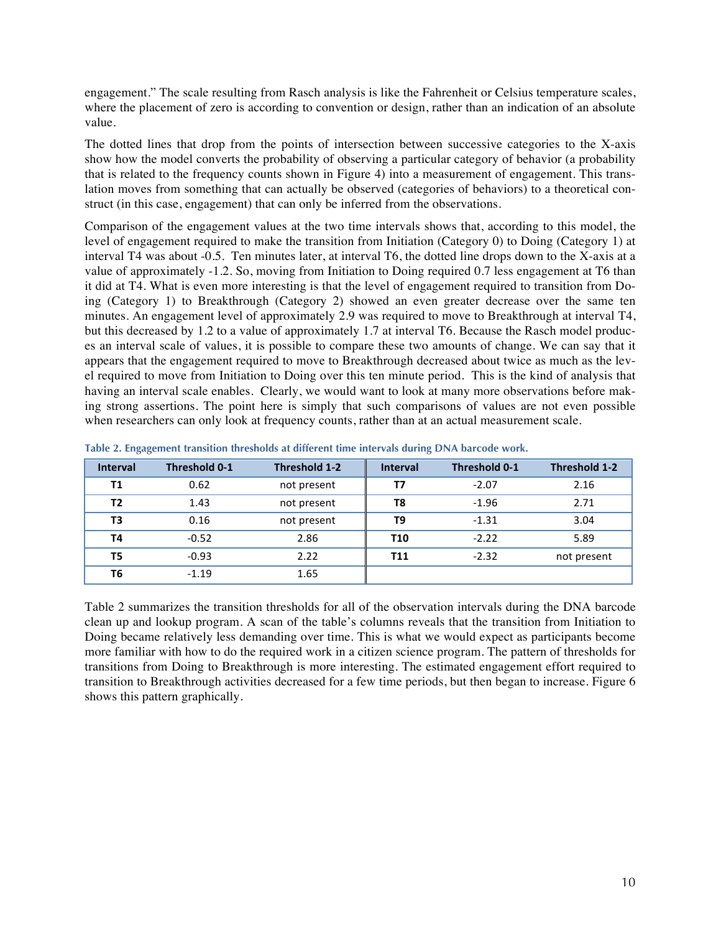engagement." The scale resulting from Rasch analysis is like the Fahrenheit or Celsius temperature scales, where the placement of zero is according to convention or design, rather than an indication of an absolute value.

The dotted lines that drop from the points of intersection between successive categories to the X-axis show how the model converts the probability of observing a particular category of behavior (a probability that is related to the frequency counts shown in Figure 4) into a measurement of engagement. This translation moves from something that can actually be observed (categories of behaviors) to a theoretical construct (in this case, engagement) that can only be inferred from the observations.

Comparison of the engagement values at the two time intervals shows that, according to this model, the level of engagement required to make the transition from Initiation (Category 0) to Doing (Category 1) at interval T4 was about -0.5. Ten minutes later, at interval T6, the dotted line drops down to the X-axis at a value of approximately -1.2. So, moving from Initiation to Doing required 0.7 less engagement at T6 than it did at T4. What is even more interesting is that the level of engagement required to transition from Doing (Category 1) to Breakthrough (Category 2) showed an even greater decrease over the same ten minutes. An engagement level of approximately 2.9 was required to move to Breakthrough at interval T4, but this decreased by 1.2 to a value of approximately 1.7 at interval T6. Because the Rasch model produces an interval scale of values, it is possible to compare these two amounts of change. We can say that it appears that the engagement required to move to Breakthrough decreased about twice as much as the level required to move from Initiation to Doing over this ten minute period. This is the kind of analysis that having an interval scale enables. Clearly, we would want to look at many more observations before making strong assertions. The point here is simply that such comparisons of values are not even possible when researchers can only look at frequency counts, rather than at an actual measurement scale.

| <b>Interval</b> | <b>Threshold 0-1</b> | Threshold 1-2 | <b>Interval</b> | <b>Threshold 0-1</b> | Threshold 1-2 |
|-----------------|----------------------|---------------|-----------------|----------------------|---------------|
| Τ1              | 0.62                 | not present   | Т7              | $-2.07$              | 2.16          |
| T <sub>2</sub>  | 1.43                 | not present   | T8              | $-1.96$              | 2.71          |
| T <sub>3</sub>  | 0.16                 | not present   | T9              | $-1.31$              | 3.04          |
| T <sub>4</sub>  | $-0.52$              | 2.86          | <b>T10</b>      | $-2.22$              | 5.89          |
| T <sub>5</sub>  | $-0.93$              | 2.22          | <b>T11</b>      | $-2.32$              | not present   |
| T6              | $-1.19$              | 1.65          |                 |                      |               |

**Table 2. Engagement transition thresholds at different time intervals during DNA barcode work.**

Table 2 summarizes the transition thresholds for all of the observation intervals during the DNA barcode clean up and lookup program. A scan of the table's columns reveals that the transition from Initiation to Doing became relatively less demanding over time. This is what we would expect as participants become more familiar with how to do the required work in a citizen science program. The pattern of thresholds for transitions from Doing to Breakthrough is more interesting. The estimated engagement effort required to transition to Breakthrough activities decreased for a few time periods, but then began to increase. Figure 6 shows this pattern graphically.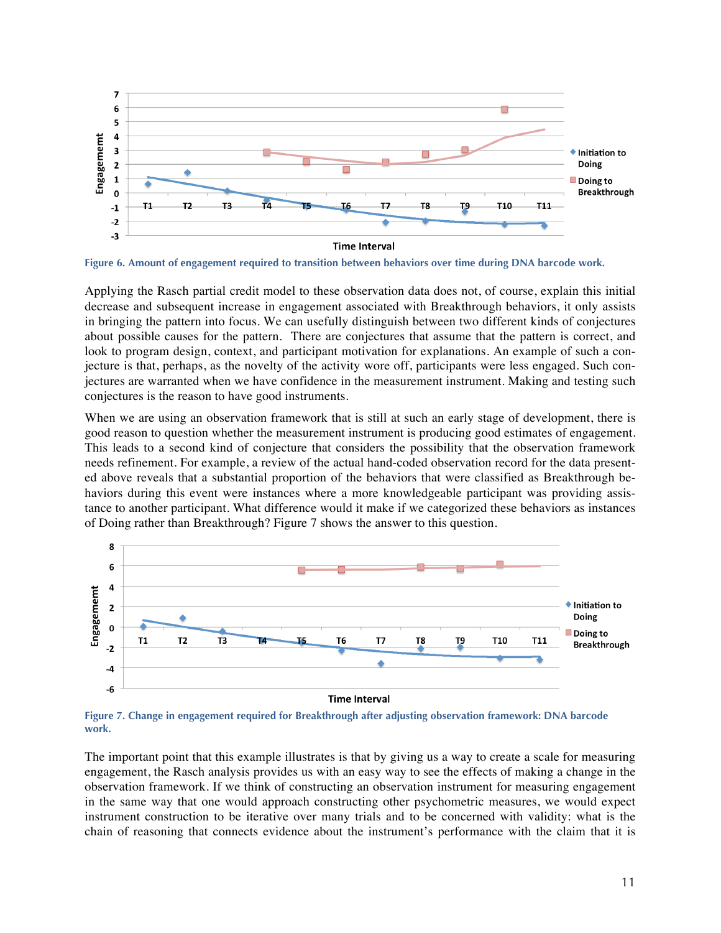

**Figure 6. Amount of engagement required to transition between behaviors over time during DNA barcode work.**

Applying the Rasch partial credit model to these observation data does not, of course, explain this initial decrease and subsequent increase in engagement associated with Breakthrough behaviors, it only assists in bringing the pattern into focus. We can usefully distinguish between two different kinds of conjectures about possible causes for the pattern. There are conjectures that assume that the pattern is correct, and look to program design, context, and participant motivation for explanations. An example of such a conjecture is that, perhaps, as the novelty of the activity wore off, participants were less engaged. Such conjectures are warranted when we have confidence in the measurement instrument. Making and testing such conjectures is the reason to have good instruments.

When we are using an observation framework that is still at such an early stage of development, there is good reason to question whether the measurement instrument is producing good estimates of engagement. This leads to a second kind of conjecture that considers the possibility that the observation framework needs refinement. For example, a review of the actual hand-coded observation record for the data presented above reveals that a substantial proportion of the behaviors that were classified as Breakthrough behaviors during this event were instances where a more knowledgeable participant was providing assistance to another participant. What difference would it make if we categorized these behaviors as instances of Doing rather than Breakthrough? Figure 7 shows the answer to this question.



**Figure 7. Change in engagement required for Breakthrough after adjusting observation framework: DNA barcode work.**

The important point that this example illustrates is that by giving us a way to create a scale for measuring engagement, the Rasch analysis provides us with an easy way to see the effects of making a change in the observation framework. If we think of constructing an observation instrument for measuring engagement in the same way that one would approach constructing other psychometric measures, we would expect instrument construction to be iterative over many trials and to be concerned with validity: what is the chain of reasoning that connects evidence about the instrument's performance with the claim that it is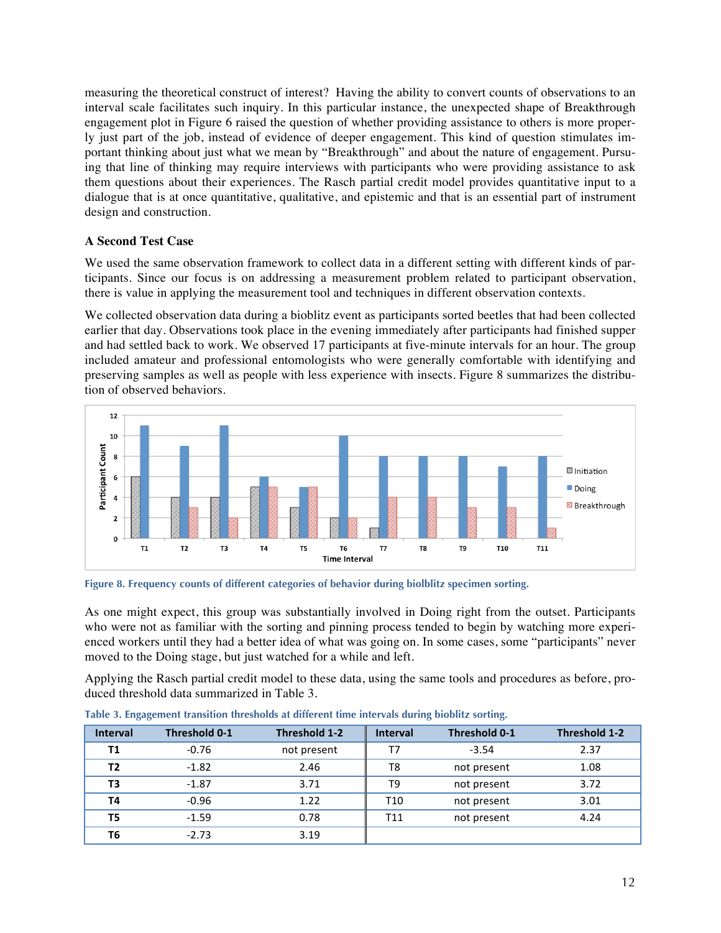measuring the theoretical construct of interest? Having the ability to convert counts of observations to an interval scale facilitates such inquiry. In this particular instance, the unexpected shape of Breakthrough engagement plot in Figure 6 raised the question of whether providing assistance to others is more properly just part of the job, instead of evidence of deeper engagement. This kind of question stimulates important thinking about just what we mean by "Breakthrough" and about the nature of engagement. Pursuing that line of thinking may require interviews with participants who were providing assistance to ask them questions about their experiences. The Rasch partial credit model provides quantitative input to a dialogue that is at once quantitative, qualitative, and epistemic and that is an essential part of instrument design and construction.

## **A Second Test Case**

We used the same observation framework to collect data in a different setting with different kinds of participants. Since our focus is on addressing a measurement problem related to participant observation, there is value in applying the measurement tool and techniques in different observation contexts.

We collected observation data during a bioblitz event as participants sorted beetles that had been collected earlier that day. Observations took place in the evening immediately after participants had finished supper and had settled back to work. We observed 17 participants at five-minute intervals for an hour. The group included amateur and professional entomologists who were generally comfortable with identifying and preserving samples as well as people with less experience with insects. Figure 8 summarizes the distribution of observed behaviors.



**Figure 8. Frequency counts of different categories of behavior during biolblitz specimen sorting.**

As one might expect, this group was substantially involved in Doing right from the outset. Participants who were not as familiar with the sorting and pinning process tended to begin by watching more experienced workers until they had a better idea of what was going on. In some cases, some "participants" never moved to the Doing stage, but just watched for a while and left.

Applying the Rasch partial credit model to these data, using the same tools and procedures as before, produced threshold data summarized in Table 3.

| .               |                      |               |                 |               |               |
|-----------------|----------------------|---------------|-----------------|---------------|---------------|
| <b>Interval</b> | <b>Threshold 0-1</b> | Threshold 1-2 | <b>Interval</b> | Threshold 0-1 | Threshold 1-2 |
| Τ1              | $-0.76$              | not present   | T7              | $-3.54$       | 2.37          |
| Т2              | $-1.82$              | 2.46          | T8              | not present   | 1.08          |
| T3              | $-1.87$              | 3.71          | T9              | not present   | 3.72          |
| Τ4              | $-0.96$              | 1.22          | T10             | not present   | 3.01          |
| T5              | $-1.59$              | 0.78          | T11             | not present   | 4.24          |
| T6              | $-2.73$              | 3.19          |                 |               |               |

**Table 3. Engagement transition thresholds at different time intervals during bioblitz sorting.**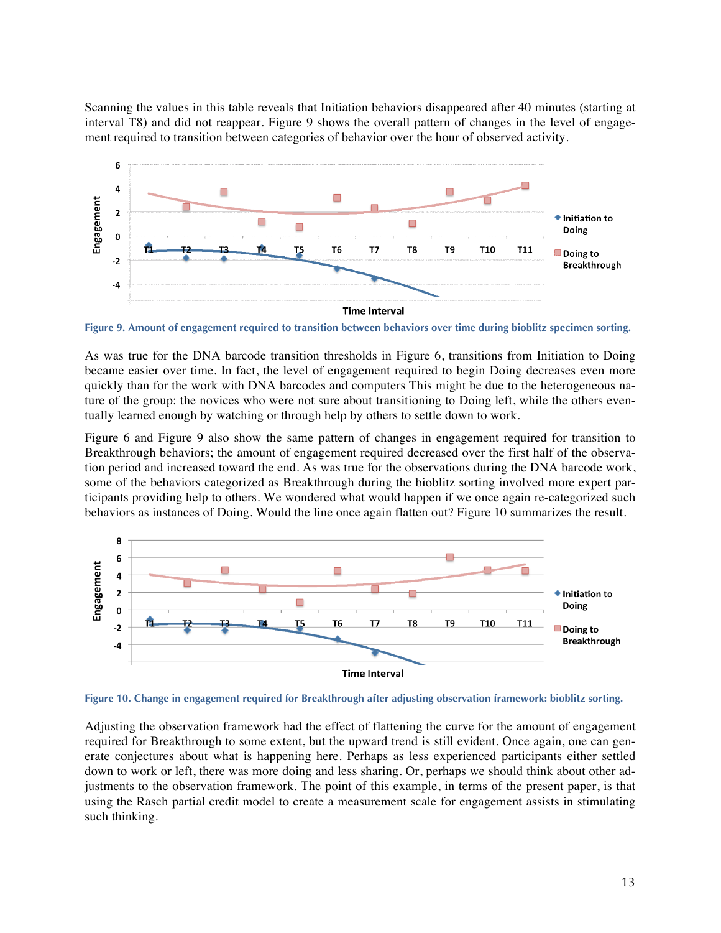Scanning the values in this table reveals that Initiation behaviors disappeared after 40 minutes (starting at interval T8) and did not reappear. Figure 9 shows the overall pattern of changes in the level of engagement required to transition between categories of behavior over the hour of observed activity.



**Figure 9. Amount of engagement required to transition between behaviors over time during bioblitz specimen sorting.**

As was true for the DNA barcode transition thresholds in Figure 6, transitions from Initiation to Doing became easier over time. In fact, the level of engagement required to begin Doing decreases even more quickly than for the work with DNA barcodes and computers This might be due to the heterogeneous nature of the group: the novices who were not sure about transitioning to Doing left, while the others eventually learned enough by watching or through help by others to settle down to work.

Figure 6 and Figure 9 also show the same pattern of changes in engagement required for transition to Breakthrough behaviors; the amount of engagement required decreased over the first half of the observation period and increased toward the end. As was true for the observations during the DNA barcode work, some of the behaviors categorized as Breakthrough during the bioblitz sorting involved more expert participants providing help to others. We wondered what would happen if we once again re-categorized such behaviors as instances of Doing. Would the line once again flatten out? Figure 10 summarizes the result.



**Figure 10. Change in engagement required for Breakthrough after adjusting observation framework: bioblitz sorting.**

Adjusting the observation framework had the effect of flattening the curve for the amount of engagement required for Breakthrough to some extent, but the upward trend is still evident. Once again, one can generate conjectures about what is happening here. Perhaps as less experienced participants either settled down to work or left, there was more doing and less sharing. Or, perhaps we should think about other adjustments to the observation framework. The point of this example, in terms of the present paper, is that using the Rasch partial credit model to create a measurement scale for engagement assists in stimulating such thinking.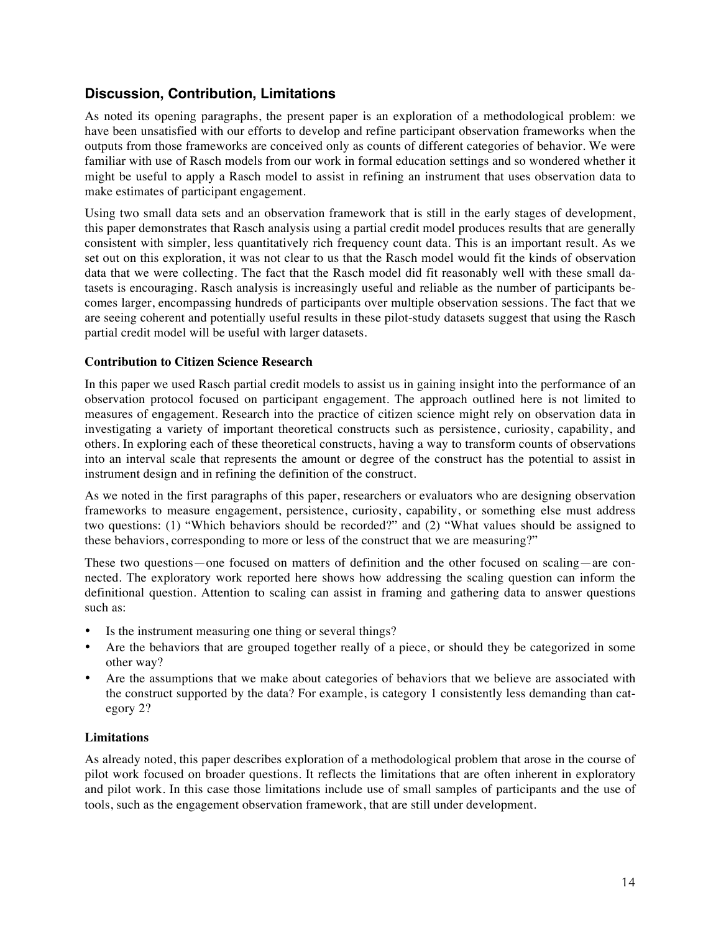# **Discussion, Contribution, Limitations**

As noted its opening paragraphs, the present paper is an exploration of a methodological problem: we have been unsatisfied with our efforts to develop and refine participant observation frameworks when the outputs from those frameworks are conceived only as counts of different categories of behavior. We were familiar with use of Rasch models from our work in formal education settings and so wondered whether it might be useful to apply a Rasch model to assist in refining an instrument that uses observation data to make estimates of participant engagement.

Using two small data sets and an observation framework that is still in the early stages of development, this paper demonstrates that Rasch analysis using a partial credit model produces results that are generally consistent with simpler, less quantitatively rich frequency count data. This is an important result. As we set out on this exploration, it was not clear to us that the Rasch model would fit the kinds of observation data that we were collecting. The fact that the Rasch model did fit reasonably well with these small datasets is encouraging. Rasch analysis is increasingly useful and reliable as the number of participants becomes larger, encompassing hundreds of participants over multiple observation sessions. The fact that we are seeing coherent and potentially useful results in these pilot-study datasets suggest that using the Rasch partial credit model will be useful with larger datasets.

## **Contribution to Citizen Science Research**

In this paper we used Rasch partial credit models to assist us in gaining insight into the performance of an observation protocol focused on participant engagement. The approach outlined here is not limited to measures of engagement. Research into the practice of citizen science might rely on observation data in investigating a variety of important theoretical constructs such as persistence, curiosity, capability, and others. In exploring each of these theoretical constructs, having a way to transform counts of observations into an interval scale that represents the amount or degree of the construct has the potential to assist in instrument design and in refining the definition of the construct.

As we noted in the first paragraphs of this paper, researchers or evaluators who are designing observation frameworks to measure engagement, persistence, curiosity, capability, or something else must address two questions: (1) "Which behaviors should be recorded?" and (2) "What values should be assigned to these behaviors, corresponding to more or less of the construct that we are measuring?"

These two questions—one focused on matters of definition and the other focused on scaling—are connected. The exploratory work reported here shows how addressing the scaling question can inform the definitional question. Attention to scaling can assist in framing and gathering data to answer questions such as:

- Is the instrument measuring one thing or several things?
- Are the behaviors that are grouped together really of a piece, or should they be categorized in some other way?
- Are the assumptions that we make about categories of behaviors that we believe are associated with the construct supported by the data? For example, is category 1 consistently less demanding than category 2?

### **Limitations**

As already noted, this paper describes exploration of a methodological problem that arose in the course of pilot work focused on broader questions. It reflects the limitations that are often inherent in exploratory and pilot work. In this case those limitations include use of small samples of participants and the use of tools, such as the engagement observation framework, that are still under development.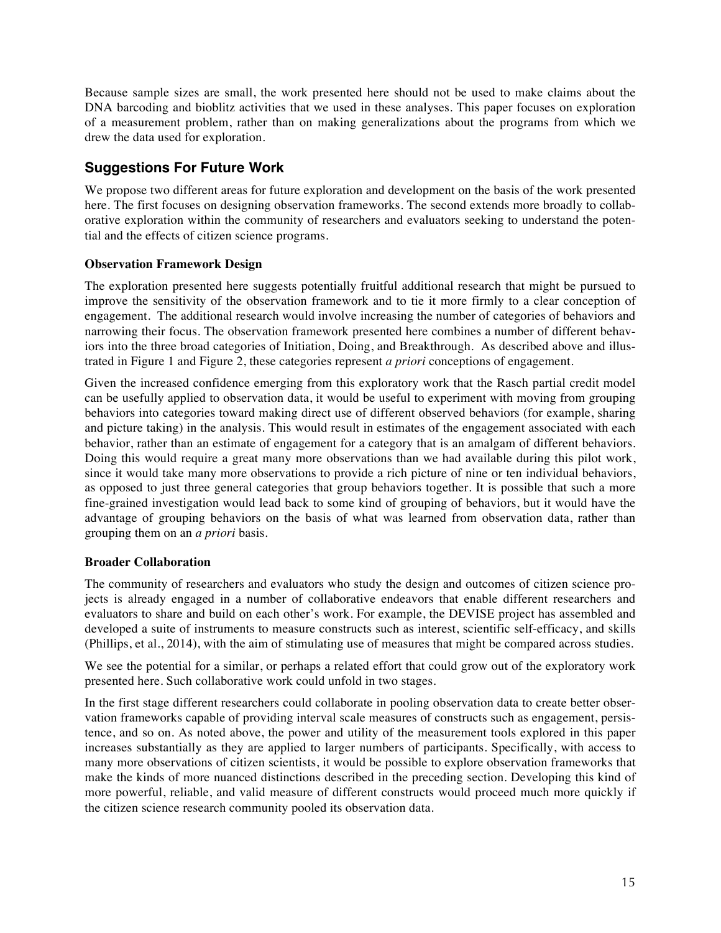Because sample sizes are small, the work presented here should not be used to make claims about the DNA barcoding and bioblitz activities that we used in these analyses. This paper focuses on exploration of a measurement problem, rather than on making generalizations about the programs from which we drew the data used for exploration.

# **Suggestions For Future Work**

We propose two different areas for future exploration and development on the basis of the work presented here. The first focuses on designing observation frameworks. The second extends more broadly to collaborative exploration within the community of researchers and evaluators seeking to understand the potential and the effects of citizen science programs.

## **Observation Framework Design**

The exploration presented here suggests potentially fruitful additional research that might be pursued to improve the sensitivity of the observation framework and to tie it more firmly to a clear conception of engagement. The additional research would involve increasing the number of categories of behaviors and narrowing their focus. The observation framework presented here combines a number of different behaviors into the three broad categories of Initiation, Doing, and Breakthrough. As described above and illustrated in Figure 1 and Figure 2, these categories represent *a priori* conceptions of engagement.

Given the increased confidence emerging from this exploratory work that the Rasch partial credit model can be usefully applied to observation data, it would be useful to experiment with moving from grouping behaviors into categories toward making direct use of different observed behaviors (for example, sharing and picture taking) in the analysis. This would result in estimates of the engagement associated with each behavior, rather than an estimate of engagement for a category that is an amalgam of different behaviors. Doing this would require a great many more observations than we had available during this pilot work, since it would take many more observations to provide a rich picture of nine or ten individual behaviors, as opposed to just three general categories that group behaviors together. It is possible that such a more fine-grained investigation would lead back to some kind of grouping of behaviors, but it would have the advantage of grouping behaviors on the basis of what was learned from observation data, rather than grouping them on an *a priori* basis.

### **Broader Collaboration**

The community of researchers and evaluators who study the design and outcomes of citizen science projects is already engaged in a number of collaborative endeavors that enable different researchers and evaluators to share and build on each other's work. For example, the DEVISE project has assembled and developed a suite of instruments to measure constructs such as interest, scientific self-efficacy, and skills (Phillips, et al., 2014), with the aim of stimulating use of measures that might be compared across studies.

We see the potential for a similar, or perhaps a related effort that could grow out of the exploratory work presented here. Such collaborative work could unfold in two stages.

In the first stage different researchers could collaborate in pooling observation data to create better observation frameworks capable of providing interval scale measures of constructs such as engagement, persistence, and so on. As noted above, the power and utility of the measurement tools explored in this paper increases substantially as they are applied to larger numbers of participants. Specifically, with access to many more observations of citizen scientists, it would be possible to explore observation frameworks that make the kinds of more nuanced distinctions described in the preceding section. Developing this kind of more powerful, reliable, and valid measure of different constructs would proceed much more quickly if the citizen science research community pooled its observation data.